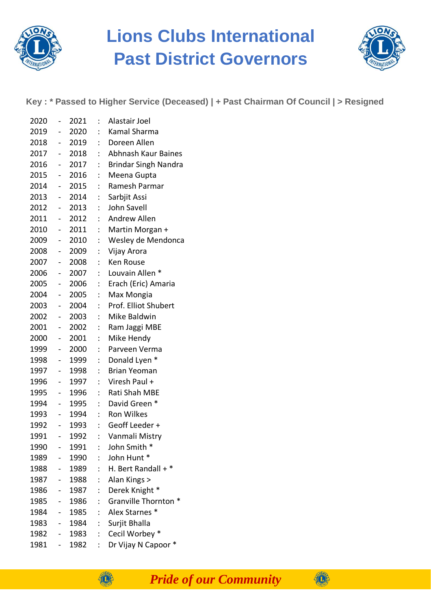

## **Lions Clubs International Past District Governors**



**Key : \* Passed to Higher Service (Deceased) | + Past Chairman Of Council | > Resigned**

| 2020 | $\overline{\phantom{0}}$  | 2021    | $\ddot{\phantom{a}}$      | Alastair Joel               |
|------|---------------------------|---------|---------------------------|-----------------------------|
| 2019 | $\sim$                    | 2020    | $\ddot{\phantom{0}}$      | Kamal Sharma                |
| 2018 | $\sim$                    | 2019    | $\mathbb{R}^{\mathbb{Z}}$ | Doreen Allen                |
| 2017 | $\frac{1}{2}$             | 2018    | $\mathbb{Z}^{\mathbb{Z}}$ | Abhnash Kaur Baines         |
| 2016 |                           | - 2017  | $\mathbb{Z}^{\mathbb{Z}}$ | <b>Brindar Singh Nandra</b> |
| 2015 | $\sim$                    | 2016    | t.                        | Meena Gupta                 |
| 2014 |                           | - 2015  | $\ddot{\phantom{0}}$      | Ramesh Parmar               |
| 2013 | $\omega_{\rm{max}}$       | 2014    | $\ddot{\phantom{a}}$      | Sarbjit Assi                |
| 2012 |                           | $-2013$ | $\ddot{\cdot}$            | John Savell                 |
| 2011 | $\blacksquare$            | 2012    | $\mathbb{R}^{\mathbb{Z}}$ | Andrew Allen                |
| 2010 |                           | - 2011  | $\mathbb{R}^{\mathbb{Z}}$ | Martin Morgan +             |
| 2009 | $\frac{1}{2}$             | 2010    | $\ddot{\phantom{a}}$      | Wesley de Mendonca          |
| 2008 | $\sim$ $-$                | 2009    | $\ddot{\cdot}$            | Vijay Arora                 |
| 2007 | $\blacksquare$            | 2008    | $\mathbb{R}^{\mathbb{Z}}$ | Ken Rouse                   |
| 2006 | $\omega_{\rm{max}}$       | 2007    | t.                        | Louvain Allen *             |
| 2005 | $\frac{1}{2}$             | 2006    | t.                        | Erach (Eric) Amaria         |
| 2004 | $\frac{1}{2}$             | 2005    | $\ddot{\phantom{0}}$      | Max Mongia                  |
| 2003 | $\sim$                    | 2004    | $\mathbb{R}^{\mathbb{Z}}$ | Prof. Elliot Shubert        |
| 2002 | $\omega_{\rm{max}}$       | 2003    | $\ddot{\cdot}$            | Mike Baldwin                |
| 2001 | $\frac{1}{2}$             | 2002    | t.                        | Ram Jaggi MBE               |
| 2000 | $\frac{1}{2}$             | 2001    | $\ddot{\phantom{a}}$      | Mike Hendy                  |
| 1999 | $\blacksquare$            | 2000    | $\ddot{\phantom{a}}$      | Parveen Verma               |
| 1998 | $\sim$                    | 1999    | t.                        | Donald Lyen *               |
| 1997 | $\mathbf{H}^{\text{max}}$ | 1998    | $\ddot{\phantom{a}}$      | <b>Brian Yeoman</b>         |
| 1996 | $\frac{1}{2}$             | 1997    | $\ddot{\cdot}$            | Viresh Paul +               |
| 1995 | $\sim$                    | 1996    | $\mathbb{Z}^{\mathbb{Z}}$ | Rati Shah MBE               |
| 1994 | $\frac{1}{2}$             | 1995    | $\mathbb{Z}^{\mathbb{Z}}$ | David Green *               |
| 1993 | $\sim$ $^{-1}$            | 1994    | $\ddot{\phantom{0}}$      | <b>Ron Wilkes</b>           |
| 1992 | $\frac{1}{2}$             | 1993    | $\mathbb{R}^{\mathbb{Z}}$ | Geoff Leeder +              |
| 1991 | $\sim$                    | 1992    | $\ddot{\cdot}$            | Vanmali Mistry              |
| 1990 |                           | 1991    | $\ddot{\cdot}$            | John Smith *                |
| 1989 |                           | 1990    |                           | John Hunt *                 |
| 1988 | $\overline{\phantom{0}}$  | 1989    | $\ddot{\cdot}$            | H. Bert Randall + *         |
| 1987 | $\blacksquare$            | 1988    | $\ddot{\cdot}$            | Alan Kings >                |
| 1986 | $\blacksquare$            | 1987    | $\ddot{\cdot}$            | Derek Knight *              |
| 1985 | $\overline{\phantom{0}}$  | 1986    | $\ddot{\cdot}$            | Granville Thornton *        |
| 1984 | $\overline{\phantom{0}}$  | 1985    | $\ddot{\cdot}$            | Alex Starnes *              |
| 1983 | $\overline{\phantom{0}}$  | 1984    | $\ddot{\cdot}$            | Surjit Bhalla               |
| 1982 | $\overline{\phantom{0}}$  | 1983    | $\ddot{\cdot}$            | Cecil Worbey *              |
| 1981 | $\overline{\phantom{0}}$  | 1982    | $\ddot{\cdot}$            | Dr Vijay N Capoor *         |

**OB** 

*Pride of our Community*